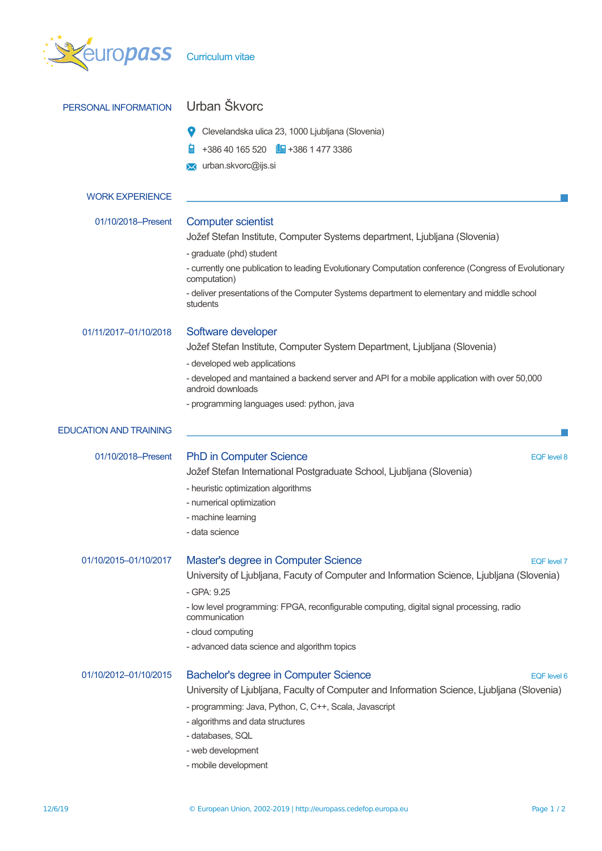| europass                      | <b>Curriculum vitae</b>                                                                                           |  |  |  |  |
|-------------------------------|-------------------------------------------------------------------------------------------------------------------|--|--|--|--|
| PERSONAL INFORMATION          | Urban Škvorc                                                                                                      |  |  |  |  |
|                               | Clevelandska ulica 23, 1000 Ljubljana (Slovenia)                                                                  |  |  |  |  |
|                               | $+38640165520$ $\Box$ +386 1477 3386                                                                              |  |  |  |  |
|                               | urban.skvorc@ijs.si<br>⋈                                                                                          |  |  |  |  |
| <b>WORK EXPERIENCE</b>        |                                                                                                                   |  |  |  |  |
| 01/10/2018-Present            |                                                                                                                   |  |  |  |  |
|                               | <b>Computer scientist</b><br>Jožef Stefan Institute, Computer Systems department, Ljubljana (Slovenia)            |  |  |  |  |
|                               | - graduate (phd) student                                                                                          |  |  |  |  |
|                               | - currently one publication to leading Evolutionary Computation conference (Congress of Evolutionary              |  |  |  |  |
|                               | computation)                                                                                                      |  |  |  |  |
|                               | - deliver presentations of the Computer Systems department to elementary and middle school<br>students            |  |  |  |  |
| 01/11/2017-01/10/2018         | Software developer                                                                                                |  |  |  |  |
|                               | Jožef Stefan Institute, Computer System Department, Ljubljana (Slovenia)                                          |  |  |  |  |
|                               | - developed web applications                                                                                      |  |  |  |  |
|                               | - developed and mantained a backend server and API for a mobile application with over 50,000<br>android downloads |  |  |  |  |
|                               | - programming languages used: python, java                                                                        |  |  |  |  |
|                               |                                                                                                                   |  |  |  |  |
| <b>EDUCATION AND TRAINING</b> |                                                                                                                   |  |  |  |  |
| 01/10/2018-Present            | <b>PhD in Computer Science</b><br>EQF level 8                                                                     |  |  |  |  |
|                               | Jožef Stefan International Postgraduate School, Ljubljana (Slovenia)                                              |  |  |  |  |
|                               | - heuristic optimization algorithms                                                                               |  |  |  |  |
|                               | - numerical optimization                                                                                          |  |  |  |  |
|                               | - machine learning                                                                                                |  |  |  |  |
|                               | - data science                                                                                                    |  |  |  |  |
| 01/10/2015-01/10/2017         | Master's degree in Computer Science<br>EQF level 7                                                                |  |  |  |  |
|                               | University of Ljubljana, Facuty of Computer and Information Science, Ljubljana (Slovenia)                         |  |  |  |  |
|                               | - GPA: 9.25                                                                                                       |  |  |  |  |
|                               | - low level programming: FPGA, reconfigurable computing, digital signal processing, radio<br>communication        |  |  |  |  |
|                               | - cloud computing                                                                                                 |  |  |  |  |
|                               | - advanced data science and algorithm topics                                                                      |  |  |  |  |
| 01/10/2012-01/10/2015         | <b>Bachelor's degree in Computer Science</b><br>EQF level 6                                                       |  |  |  |  |
|                               | University of Ljubljana, Faculty of Computer and Information Science, Ljubljana (Slovenia)                        |  |  |  |  |
|                               | - programming: Java, Python, C, C++, Scala, Javascript                                                            |  |  |  |  |
|                               | - algorithms and data structures                                                                                  |  |  |  |  |
|                               | - databases, SQL                                                                                                  |  |  |  |  |
|                               | - web development                                                                                                 |  |  |  |  |
|                               | - mobile development                                                                                              |  |  |  |  |